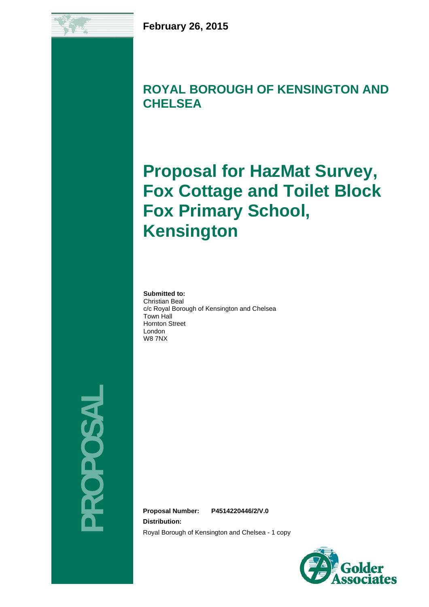## **ROYAL BOROUGH OF KENSINGTON AND CHELSEA**

# **Proposal for HazMat Survey, Fox Cottage and Toilet Block Fox Primary School, Kensington**

**Submitted to:** Christian Beal c/c Royal Borough of Kensington and Chelsea Town Hall Hornton Street London W8 7NX

**PROPOSAL**  ROPOSAL

**Proposal Number: P4514220446/2/V.0**

**Distribution:**

Royal Borough of Kensington and Chelsea - 1 copy

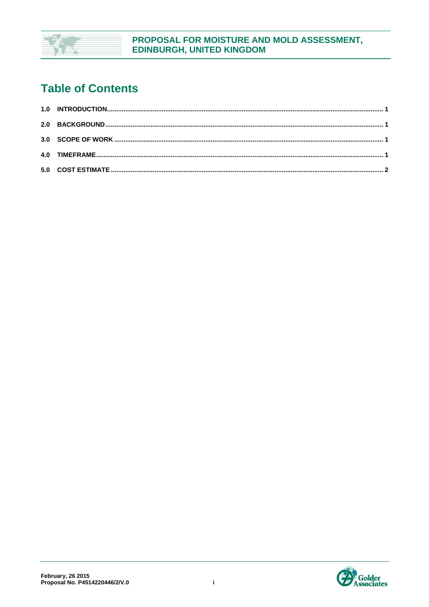

## **Table of Contents**

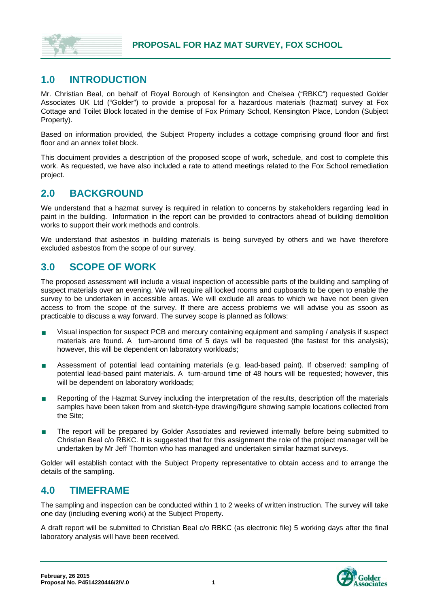

#### **1.0 INTRODUCTION**

Mr. Christian Beal, on behalf of Royal Borough of Kensington and Chelsea ("RBKC") requested Golder Associates UK Ltd ("Golder") to provide a proposal for a hazardous materials (hazmat) survey at Fox Cottage and Toilet Block located in the demise of Fox Primary School, Kensington Place, London (Subject Property).

Based on information provided, the Subject Property includes a cottage comprising ground floor and first floor and an annex toilet block.

This docuiment provides a description of the proposed scope of work, schedule, and cost to complete this work. As requested, we have also included a rate to attend meetings related to the Fox School remediation project.

#### **2.0 BACKGROUND**

We understand that a hazmat survey is required in relation to concerns by stakeholders regarding lead in paint in the building. Information in the report can be provided to contractors ahead of building demolition works to support their work methods and controls.

We understand that asbestos in building materials is being surveyed by others and we have therefore excluded asbestos from the scope of our survey.

#### **3.0 SCOPE OF WORK**

The proposed assessment will include a visual inspection of accessible parts of the building and sampling of suspect materials over an evening. We will require all locked rooms and cupboards to be open to enable the survey to be undertaken in accessible areas. We will exclude all areas to which we have not been given access to from the scope of the survey. If there are access problems we will advise you as ssoon as practicable to discuss a way forward. The survey scope is planned as follows:

- Visual inspection for suspect PCB and mercury containing equipment and sampling / analysis if suspect materials are found. A turn-around time of 5 days will be requested (the fastest for this analysis); however, this will be dependent on laboratory workloads;
- Assessment of potential lead containing materials (e.g. lead-based paint). If observed: sampling of potential lead-based paint materials. A turn-around time of 48 hours will be requested; however, this will be dependent on laboratory workloads;
- Reporting of the Hazmat Survey including the interpretation of the results, description off the materials samples have been taken from and sketch-type drawing/figure showing sample locations collected from the Site;
- The report will be prepared by Golder Associates and reviewed internally before being submitted to Christian Beal c/o RBKC. It is suggested that for this assignment the role of the project manager will be undertaken by Mr Jeff Thornton who has managed and undertaken similar hazmat surveys.

Golder will establish contact with the Subject Property representative to obtain access and to arrange the details of the sampling.

#### **4.0 TIMEFRAME**

The sampling and inspection can be conducted within 1 to 2 weeks of written instruction. The survey will take one day (including evening work) at the Subject Property.

A draft report will be submitted to Christian Beal c/o RBKC (as electronic file) 5 working days after the final laboratory analysis will have been received.

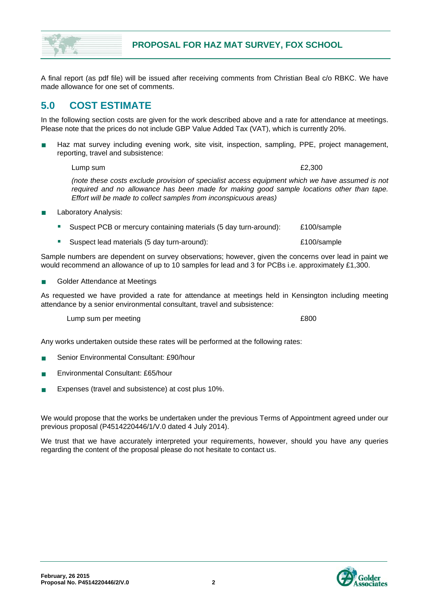A final report (as pdf file) will be issued after receiving comments from Christian Beal c/o RBKC. We have made allowance for one set of comments.

#### **5.0 COST ESTIMATE**

In the following section costs are given for the work described above and a rate for attendance at meetings. Please note that the prices do not include GBP Value Added Tax (VAT), which is currently 20%.

 Haz mat survey including evening work, site visit, inspection, sampling, PPE, project management, reporting, travel and subsistence:

Lump sum  $£2,300$ 

*(note these costs exclude provision of specialist access equipment which we have assumed is not required and no allowance has been made for making good sample locations other than tape. Effort will be made to collect samples from inconspicuous areas)* 

- Laboratory Analysis:
	- Suspect PCB or mercury containing materials (5 day turn-around): £100/sample
	- Suspect lead materials (5 day turn-around):  $\qquad 2100$ /sample

Sample numbers are dependent on survey observations; however, given the concerns over lead in paint we would recommend an allowance of up to 10 samples for lead and 3 for PCBs i.e. approximately £1,300.

Golder Attendance at Meetings

As requested we have provided a rate for attendance at meetings held in Kensington including meeting attendance by a senior environmental consultant, travel and subsistence:

Lump sum per meeting **E800** 

Any works undertaken outside these rates will be performed at the following rates:

- Senior Environmental Consultant: £90/hour
- Environmental Consultant: £65/hour
- Expenses (travel and subsistence) at cost plus 10%.

We would propose that the works be undertaken under the previous Terms of Appointment agreed under our previous proposal (P4514220446/1/V.0 dated 4 July 2014).

We trust that we have accurately interpreted your requirements, however, should you have any queries regarding the content of the proposal please do not hesitate to contact us.

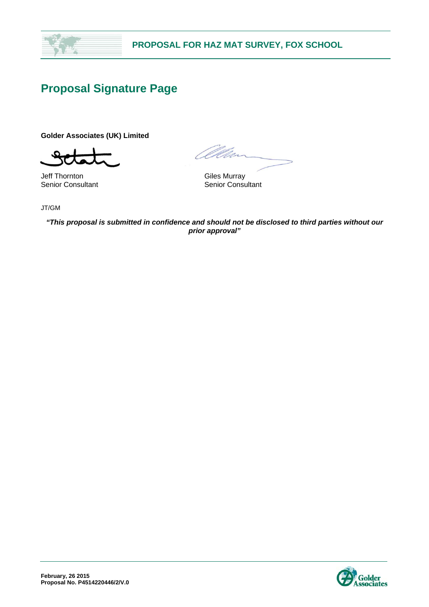

### **Proposal Signature Page**

**Golder Associates (UK) Limited** 

Jeff Thornton **Giles Murray** Senior Consultant Senior Consultant

<u>O</u>Um

JT/GM

*"This proposal is submitted in confidence and should not be disclosed to third parties without our prior approval"*